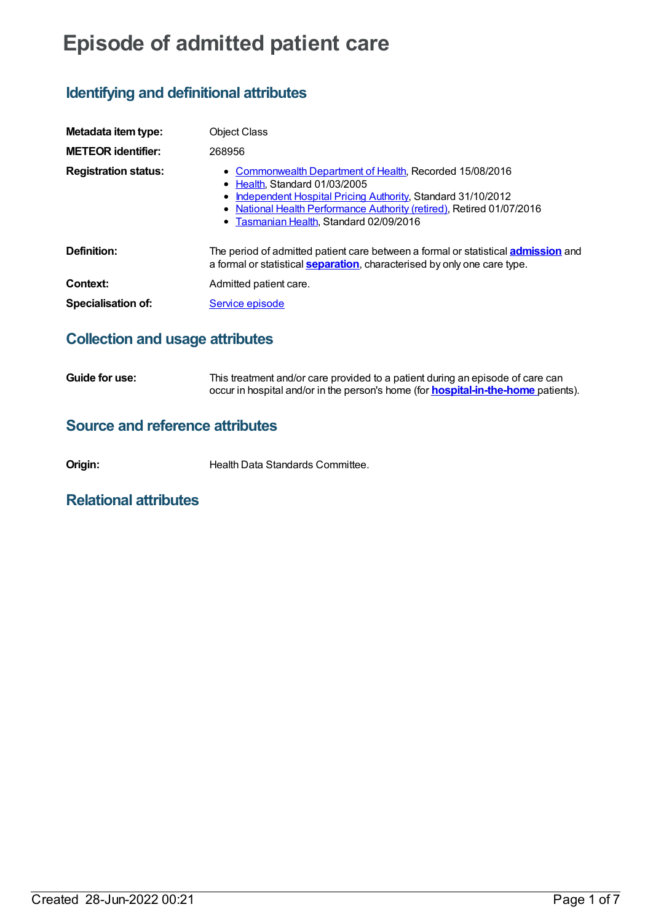# **Episode of admitted patient care**

## **Identifying and definitional attributes**

| Metadata item type:         | <b>Object Class</b>                                                                                                                                                                                                                                                        |
|-----------------------------|----------------------------------------------------------------------------------------------------------------------------------------------------------------------------------------------------------------------------------------------------------------------------|
| <b>METEOR identifier:</b>   | 268956                                                                                                                                                                                                                                                                     |
| <b>Registration status:</b> | Commonwealth Department of Health, Recorded 15/08/2016<br>• Health. Standard 01/03/2005<br>Independent Hospital Pricing Authority, Standard 31/10/2012<br>• National Health Performance Authority (retired), Retired 01/07/2016<br>• Tasmanian Health, Standard 02/09/2016 |
| Definition:                 | The period of admitted patient care between a formal or statistical <b>admission</b> and<br>a formal or statistical <b>separation</b> , characterised by only one care type.                                                                                               |
| Context:                    | Admitted patient care.                                                                                                                                                                                                                                                     |
| Specialisation of:          | Service episode                                                                                                                                                                                                                                                            |

#### **Collection and usage attributes**

| Guide for use: | This treatment and/or care provided to a patient during an episode of care can            |
|----------------|-------------------------------------------------------------------------------------------|
|                | occur in hospital and/or in the person's home (for <b>hospital-in-the-home</b> patients). |

#### **Source and reference attributes**

**Origin:** Health Data Standards Committee.

### **Relational attributes**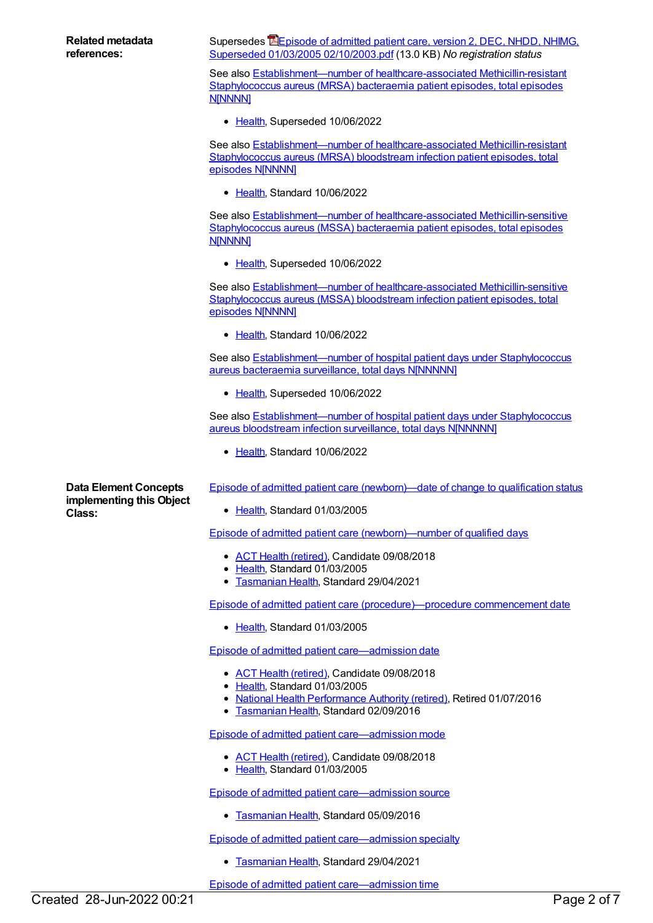**Related metadata references:**

Supersedes **E** Episode of admitted patient care, version 2, DEC, NHDD, NHIMG, Superseded 01/03/2005 [02/10/2003.pdf](https://meteor.aihw.gov.au/content/274028) (13.0 KB) *No registration status*

See also [Establishment—number](https://meteor.aihw.gov.au/content/585164) of healthcare-associated Methicillin-resistant Staphylococcus aureus (MRSA) bacteraemia patient episodes, total episodes **NINNNNI** 

• [Health](https://meteor.aihw.gov.au/RegistrationAuthority/12), Superseded 10/06/2022

See also [Establishment—number](https://meteor.aihw.gov.au/content/751492) of healthcare-associated Methicillin-resistant Staphylococcus aureus (MRSA) bloodstream infection patient episodes, total episodes N[NNNN]

• [Health](https://meteor.aihw.gov.au/RegistrationAuthority/12), Standard 10/06/2022

See also Establishment-number of healthcare-associated Methicillin-sensitive Staphylococcus aureus (MSSA) bacteraemia patient episodes, total episodes **NINNNNI** 

[Health](https://meteor.aihw.gov.au/RegistrationAuthority/12), Superseded 10/06/2022

See also [Establishment—number](https://meteor.aihw.gov.au/content/751503) of healthcare-associated Methicillin-sensitive Staphylococcus aureus (MSSA) bloodstream infection patient episodes, total episodes N[NNNN]

• [Health](https://meteor.aihw.gov.au/RegistrationAuthority/12), Standard 10/06/2022

See also **[Establishment—number](https://meteor.aihw.gov.au/content/585108) of hospital patient days under Staphylococcus** aureus bacteraemia surveillance, total days N[NNNNN]

• [Health](https://meteor.aihw.gov.au/RegistrationAuthority/12), Superseded 10/06/2022

See also [Establishment—number](https://meteor.aihw.gov.au/content/754302) of hospital patient days under Staphylococcus aureus bloodstream infection surveillance, total days N[NNNNN]

[Health](https://meteor.aihw.gov.au/RegistrationAuthority/12), Standard 10/06/2022

Episode of admitted patient care [\(newborn\)—date](https://meteor.aihw.gov.au/content/269505) of change to qualification status

[Health](https://meteor.aihw.gov.au/RegistrationAuthority/12), Standard 01/03/2005

Episode of admitted patient care [\(newborn\)—number](https://meteor.aihw.gov.au/content/269504) of qualified days

- ACT Health [\(retired\)](https://meteor.aihw.gov.au/RegistrationAuthority/9), Candidate 09/08/2018
- [Health](https://meteor.aihw.gov.au/RegistrationAuthority/12), Standard 01/03/2005
- **[Tasmanian](https://meteor.aihw.gov.au/RegistrationAuthority/15) Health, Standard 29/04/2021**

Episode of admitted patient care [\(procedure\)—procedure](https://meteor.aihw.gov.au/content/269735) commencement date

[Health](https://meteor.aihw.gov.au/RegistrationAuthority/12), Standard 01/03/2005

Episode of admitted patient [care—admission](https://meteor.aihw.gov.au/content/269411) date

- ACT Health [\(retired\)](https://meteor.aihw.gov.au/RegistrationAuthority/9), Candidate 09/08/2018
- [Health](https://meteor.aihw.gov.au/RegistrationAuthority/12), Standard 01/03/2005
- National Health [Performance](https://meteor.aihw.gov.au/RegistrationAuthority/8) Authority (retired), Retired 01/07/2016
- **[Tasmanian](https://meteor.aihw.gov.au/RegistrationAuthority/15) Health, Standard 02/09/2016**

Episode of admitted patient [care—admission](https://meteor.aihw.gov.au/content/269416) mode

- ACT Health [\(retired\)](https://meteor.aihw.gov.au/RegistrationAuthority/9), Candidate 09/08/2018
- [Health](https://meteor.aihw.gov.au/RegistrationAuthority/12), Standard 01/03/2005

Episode of admitted patient [care—admission](https://meteor.aihw.gov.au/content/431466) source

**[Tasmanian](https://meteor.aihw.gov.au/RegistrationAuthority/15) Health, Standard 05/09/2016** 

Episode of admitted patient [care—admission](https://meteor.aihw.gov.au/content/743330) specialty

**• [Tasmanian](https://meteor.aihw.gov.au/RegistrationAuthority/15) Health, Standard 29/04/2021** 

Episode of admitted patient [care—admission](https://meteor.aihw.gov.au/content/682944) time

**Data Element Concepts implementing this Object Class:**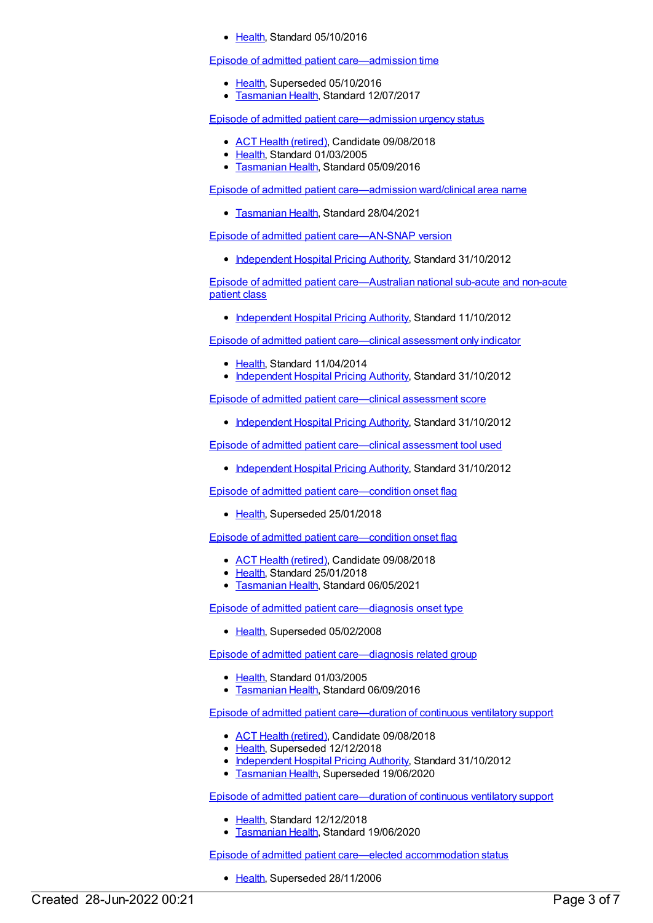• [Health](https://meteor.aihw.gov.au/RegistrationAuthority/12), Standard 05/10/2016

Episode of admitted patient [care—admission](https://meteor.aihw.gov.au/content/269414) time

- [Health](https://meteor.aihw.gov.au/RegistrationAuthority/12), Superseded 05/10/2016
- **[Tasmanian](https://meteor.aihw.gov.au/RegistrationAuthority/15) Health, Standard 12/07/2017**

Episode of admitted patient [care—admission](https://meteor.aihw.gov.au/content/269424) urgency status

- ACT Health [\(retired\)](https://meteor.aihw.gov.au/RegistrationAuthority/9), Candidate 09/08/2018
- Elealth, Standard 01/03/2005
- **[Tasmanian](https://meteor.aihw.gov.au/RegistrationAuthority/15) Health, Standard 05/09/2016**

Episode of admitted patient [care—admission](https://meteor.aihw.gov.au/content/743286) ward/clinical area name

**[Tasmanian](https://meteor.aihw.gov.au/RegistrationAuthority/15) Health, Standard 28/04/2021** 

Episode of admitted patient [care—AN-SNAP](https://meteor.aihw.gov.au/content/448978) version

• [Independent](https://meteor.aihw.gov.au/RegistrationAuthority/3) Hospital Pricing Authority, Standard 31/10/2012

Episode of admitted patient [care—Australian](https://meteor.aihw.gov.au/content/449120) national sub-acute and non-acute patient class

• [Independent](https://meteor.aihw.gov.au/RegistrationAuthority/3) Hospital Pricing Authority, Standard 11/10/2012

Episode of admitted patient [care—clinical](https://meteor.aihw.gov.au/content/471805) assessment only indicator

- [Health](https://meteor.aihw.gov.au/RegistrationAuthority/12), Standard 11/04/2014
- [Independent](https://meteor.aihw.gov.au/RegistrationAuthority/3) Hospital Pricing Authority, Standard 31/10/2012

Episode of admitted patient [care—clinical](https://meteor.aihw.gov.au/content/477824) assessment score

• [Independent](https://meteor.aihw.gov.au/RegistrationAuthority/3) Hospital Pricing Authority, Standard 31/10/2012

Episode of admitted patient [care—clinical](https://meteor.aihw.gov.au/content/477785) assessment tool used

• [Independent](https://meteor.aihw.gov.au/RegistrationAuthority/3) Hospital Pricing Authority, Standard 31/10/2012

Episode of admitted patient [care—condition](https://meteor.aihw.gov.au/content/354809) onset flag

• [Health](https://meteor.aihw.gov.au/RegistrationAuthority/12), Superseded 25/01/2018

Episode of admitted patient [care—condition](https://meteor.aihw.gov.au/content/686102) onset flag

- ACT Health [\(retired\)](https://meteor.aihw.gov.au/RegistrationAuthority/9), Candidate 09/08/2018
- [Health](https://meteor.aihw.gov.au/RegistrationAuthority/12), Standard 25/01/2018
- **[Tasmanian](https://meteor.aihw.gov.au/RegistrationAuthority/15) Health, Standard 06/05/2021**

Episode of admitted patient [care—diagnosis](https://meteor.aihw.gov.au/content/269657) onset type

• [Health](https://meteor.aihw.gov.au/RegistrationAuthority/12), Superseded 05/02/2008

Episode of admitted patient [care—diagnosis](https://meteor.aihw.gov.au/content/269660) related group

- Elealth, Standard 01/03/2005
- **[Tasmanian](https://meteor.aihw.gov.au/RegistrationAuthority/15) Health, Standard 06/09/2016**

Episode of admitted patient [care—duration](https://meteor.aihw.gov.au/content/479007) of continuous ventilatory support

- ACT Health [\(retired\)](https://meteor.aihw.gov.au/RegistrationAuthority/9), Candidate 09/08/2018
- [Health](https://meteor.aihw.gov.au/RegistrationAuthority/12), Superseded 12/12/2018
- [Independent](https://meteor.aihw.gov.au/RegistrationAuthority/3) Hospital Pricing Authority, Standard 31/10/2012
- **[Tasmanian](https://meteor.aihw.gov.au/RegistrationAuthority/15) Health, Superseded 19/06/2020**

Episode of admitted patient [care—duration](https://meteor.aihw.gov.au/content/708844) of continuous ventilatory support

- [Health](https://meteor.aihw.gov.au/RegistrationAuthority/12), Standard 12/12/2018
- **[Tasmanian](https://meteor.aihw.gov.au/RegistrationAuthority/15) Health, Standard 19/06/2020**

Episode of admitted patient care—elected [accommodation](https://meteor.aihw.gov.au/content/269515) status

• [Health](https://meteor.aihw.gov.au/RegistrationAuthority/12), Superseded 28/11/2006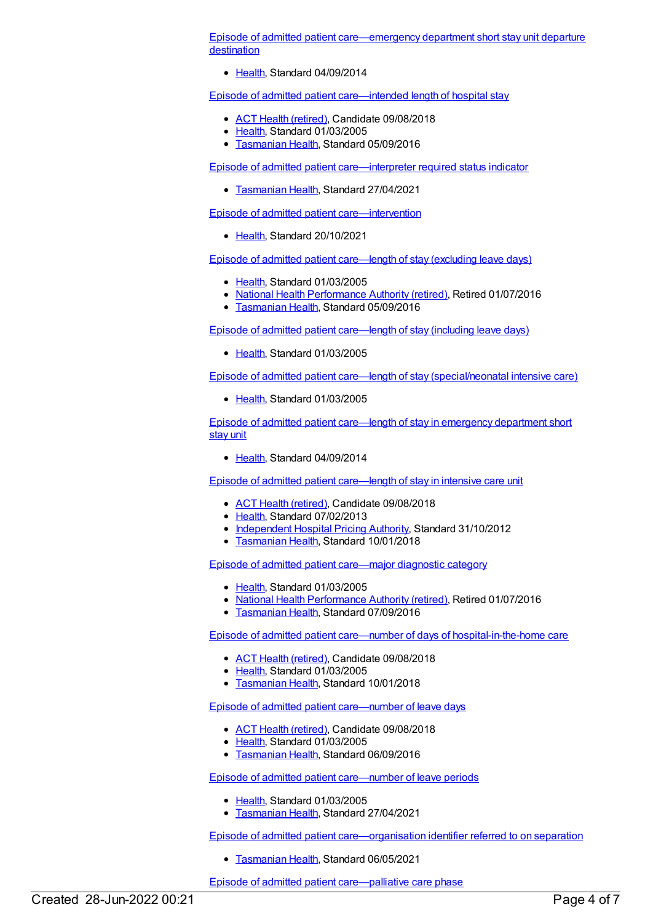Episode of admitted patient [care—emergency](https://meteor.aihw.gov.au/content/559990) department short stay unit departure destination

• [Health](https://meteor.aihw.gov.au/RegistrationAuthority/12), Standard 04/09/2014

Episode of admitted patient [care—intended](https://meteor.aihw.gov.au/content/269574) length of hospital stay

- ACT Health [\(retired\)](https://meteor.aihw.gov.au/RegistrationAuthority/9), Candidate 09/08/2018
- [Health](https://meteor.aihw.gov.au/RegistrationAuthority/12), Standard 01/03/2005
- **[Tasmanian](https://meteor.aihw.gov.au/RegistrationAuthority/15) Health, Standard 05/09/2016**

Episode of admitted patient [care—interpreter](https://meteor.aihw.gov.au/content/743229) required status indicator

**[Tasmanian](https://meteor.aihw.gov.au/RegistrationAuthority/15) Health, Standard 27/04/2021** 

Episode of admitted patient [care—intervention](https://meteor.aihw.gov.au/content/746719)

[Health](https://meteor.aihw.gov.au/RegistrationAuthority/12), Standard 20/10/2021

Episode of admitted patient [care—length](https://meteor.aihw.gov.au/content/269422) of stay (excluding leave days)

- [Health](https://meteor.aihw.gov.au/RegistrationAuthority/12), Standard 01/03/2005
- National Health [Performance](https://meteor.aihw.gov.au/RegistrationAuthority/8) Authority (retired), Retired 01/07/2016
- **[Tasmanian](https://meteor.aihw.gov.au/RegistrationAuthority/15) Health, Standard 05/09/2016**

Episode of admitted patient [care—length](https://meteor.aihw.gov.au/content/269423) of stay (including leave days)

• [Health](https://meteor.aihw.gov.au/RegistrationAuthority/12), Standard 01/03/2005

Episode of admitted patient care—length of stay [\(special/neonatal](https://meteor.aihw.gov.au/content/269528) intensive care)

[Health](https://meteor.aihw.gov.au/RegistrationAuthority/12), Standard 01/03/2005

Episode of admitted patient [care—length](https://meteor.aihw.gov.au/content/559953) of stay in emergency department short stay unit

• [Health](https://meteor.aihw.gov.au/RegistrationAuthority/12), Standard 04/09/2014

Episode of admitted patient [care—length](https://meteor.aihw.gov.au/content/471545) of stay in intensive care unit

- ACT Health [\(retired\)](https://meteor.aihw.gov.au/RegistrationAuthority/9), Candidate 09/08/2018
- [Health](https://meteor.aihw.gov.au/RegistrationAuthority/12), Standard 07/02/2013
- [Independent](https://meteor.aihw.gov.au/RegistrationAuthority/3) Hospital Pricing Authority, Standard 31/10/2012
- **[Tasmanian](https://meteor.aihw.gov.au/RegistrationAuthority/15) Health, Standard 10/01/2018**

Episode of admitted patient [care—major](https://meteor.aihw.gov.au/content/269575) diagnostic category

- [Health](https://meteor.aihw.gov.au/RegistrationAuthority/12), Standard 01/03/2005
- National Health [Performance](https://meteor.aihw.gov.au/RegistrationAuthority/8) Authority (retired), Retired 01/07/2016
- **[Tasmanian](https://meteor.aihw.gov.au/RegistrationAuthority/15) Health, Standard 07/09/2016**

Episode of admitted patient care—number of days of [hospital-in-the-home](https://meteor.aihw.gov.au/content/269742) care

- ACT Health [\(retired\)](https://meteor.aihw.gov.au/RegistrationAuthority/9), Candidate 09/08/2018
- [Health](https://meteor.aihw.gov.au/RegistrationAuthority/12), Standard 01/03/2005
- **[Tasmanian](https://meteor.aihw.gov.au/RegistrationAuthority/15) Health, Standard 10/01/2018**

Episode of admitted patient [care—number](https://meteor.aihw.gov.au/content/269701) of leave days

- ACT Health [\(retired\)](https://meteor.aihw.gov.au/RegistrationAuthority/9), Candidate 09/08/2018
- [Health](https://meteor.aihw.gov.au/RegistrationAuthority/12), Standard 01/03/2005
- **[Tasmanian](https://meteor.aihw.gov.au/RegistrationAuthority/15) Health, Standard 06/09/2016**

Episode of admitted patient [care—number](https://meteor.aihw.gov.au/content/269529) of leave periods

- [Health](https://meteor.aihw.gov.au/RegistrationAuthority/12), Standard 01/03/2005
- **[Tasmanian](https://meteor.aihw.gov.au/RegistrationAuthority/15) Health, Standard 27/04/2021**

Episode of admitted patient [care—organisation](https://meteor.aihw.gov.au/content/743658) identifier referred to on separation

[Tasmanian](https://meteor.aihw.gov.au/RegistrationAuthority/15) Health, Standard 06/05/2021

Episode of admitted patient [care—palliative](https://meteor.aihw.gov.au/content/638972) care phase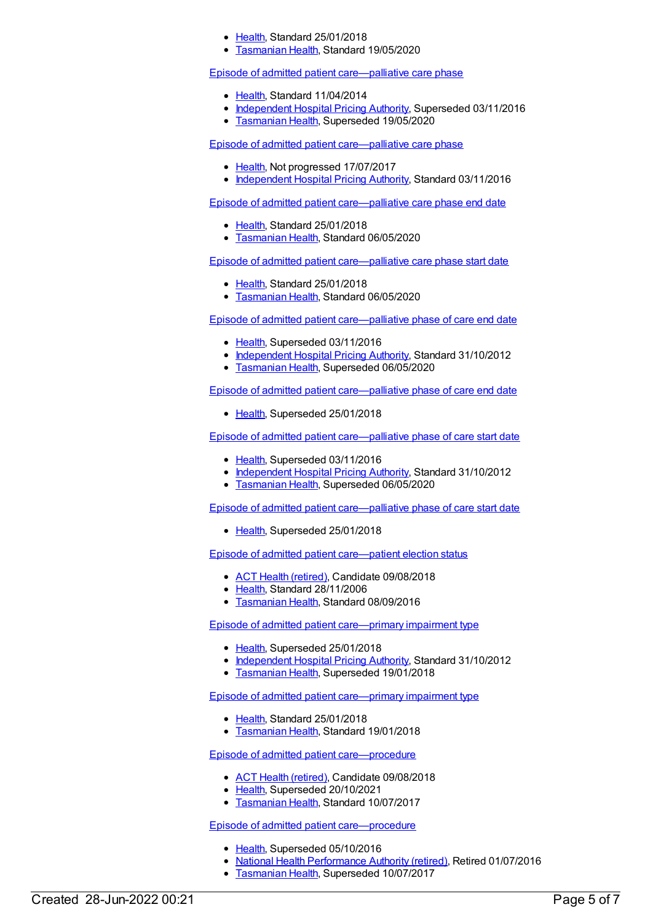- [Health](https://meteor.aihw.gov.au/RegistrationAuthority/12), Standard 25/01/2018
- **[Tasmanian](https://meteor.aihw.gov.au/RegistrationAuthority/15) Health, Standard 19/05/2020**

Episode of admitted patient [care—palliative](https://meteor.aihw.gov.au/content/445933) care phase

- [Health](https://meteor.aihw.gov.au/RegistrationAuthority/12), Standard 11/04/2014
- [Independent](https://meteor.aihw.gov.au/RegistrationAuthority/3) Hospital Pricing Authority, Superseded 03/11/2016
- **[Tasmanian](https://meteor.aihw.gov.au/RegistrationAuthority/15) Health, Superseded 19/05/2020**

Episode of admitted patient [care—palliative](https://meteor.aihw.gov.au/content/654609) care phase

- [Health](https://meteor.aihw.gov.au/RegistrationAuthority/12), Not progressed 17/07/2017
- [Independent](https://meteor.aihw.gov.au/RegistrationAuthority/3) Hospital Pricing Authority, Standard 03/11/2016

Episode of admitted patient [care—palliative](https://meteor.aihw.gov.au/content/684244) care phase end date

- [Health](https://meteor.aihw.gov.au/RegistrationAuthority/12), Standard 25/01/2018
- **[Tasmanian](https://meteor.aihw.gov.au/RegistrationAuthority/15) Health, Standard 06/05/2020**

Episode of admitted patient [care—palliative](https://meteor.aihw.gov.au/content/684274) care phase start date

- [Health](https://meteor.aihw.gov.au/RegistrationAuthority/12), Standard 25/01/2018
- **[Tasmanian](https://meteor.aihw.gov.au/RegistrationAuthority/15) Health, Standard 06/05/2020**

Episode of admitted patient [care—palliative](https://meteor.aihw.gov.au/content/445893) phase of care end date

- [Health](https://meteor.aihw.gov.au/RegistrationAuthority/12), Superseded 03/11/2016
- [Independent](https://meteor.aihw.gov.au/RegistrationAuthority/3) Hospital Pricing Authority, Standard 31/10/2012
- **[Tasmanian](https://meteor.aihw.gov.au/RegistrationAuthority/15) Health, Superseded 06/05/2020**

Episode of admitted patient [care—palliative](https://meteor.aihw.gov.au/content/654655) phase of care end date

• [Health](https://meteor.aihw.gov.au/RegistrationAuthority/12), Superseded 25/01/2018

Episode of admitted patient [care—palliative](https://meteor.aihw.gov.au/content/445857) phase of care start date

- [Health](https://meteor.aihw.gov.au/RegistrationAuthority/12), Superseded 03/11/2016
- [Independent](https://meteor.aihw.gov.au/RegistrationAuthority/3) Hospital Pricing Authority, Standard 31/10/2012
- **[Tasmanian](https://meteor.aihw.gov.au/RegistrationAuthority/15) Health, Superseded 06/05/2020**

Episode of admitted patient [care—palliative](https://meteor.aihw.gov.au/content/654676) phase of care start date

• [Health](https://meteor.aihw.gov.au/RegistrationAuthority/12), Superseded 25/01/2018

Episode of admitted patient [care—patient](https://meteor.aihw.gov.au/content/339069) election status

- ACT Health [\(retired\)](https://meteor.aihw.gov.au/RegistrationAuthority/9), Candidate 09/08/2018
- [Health](https://meteor.aihw.gov.au/RegistrationAuthority/12), Standard 28/11/2006
- **[Tasmanian](https://meteor.aihw.gov.au/RegistrationAuthority/15) Health, Standard 08/09/2016**

Episode of admitted patient [care—primary](https://meteor.aihw.gov.au/content/449130) impairment type

- [Health](https://meteor.aihw.gov.au/RegistrationAuthority/12), Superseded 25/01/2018
- [Independent](https://meteor.aihw.gov.au/RegistrationAuthority/3) Hospital Pricing Authority, Standard 31/10/2012
- **[Tasmanian](https://meteor.aihw.gov.au/RegistrationAuthority/15) Health, Superseded 19/01/2018**

Episode of admitted patient [care—primary](https://meteor.aihw.gov.au/content/681414) impairment type

- [Health](https://meteor.aihw.gov.au/RegistrationAuthority/12), Standard 25/01/2018
- [Tasmanian](https://meteor.aihw.gov.au/RegistrationAuthority/15) Health, Standard 19/01/2018

Episode of admitted patient [care—procedure](https://meteor.aihw.gov.au/content/647089)

- ACT Health [\(retired\)](https://meteor.aihw.gov.au/RegistrationAuthority/9), Candidate 09/08/2018
- [Health](https://meteor.aihw.gov.au/RegistrationAuthority/12), Superseded 20/10/2021
- **[Tasmanian](https://meteor.aihw.gov.au/RegistrationAuthority/15) Health, Standard 10/07/2017**

Episode of admitted patient [care—procedure](https://meteor.aihw.gov.au/content/269450)

- [Health](https://meteor.aihw.gov.au/RegistrationAuthority/12), Superseded 05/10/2016
- National Health [Performance](https://meteor.aihw.gov.au/RegistrationAuthority/8) Authority (retired), Retired 01/07/2016
- **[Tasmanian](https://meteor.aihw.gov.au/RegistrationAuthority/15) Health, Superseded 10/07/2017**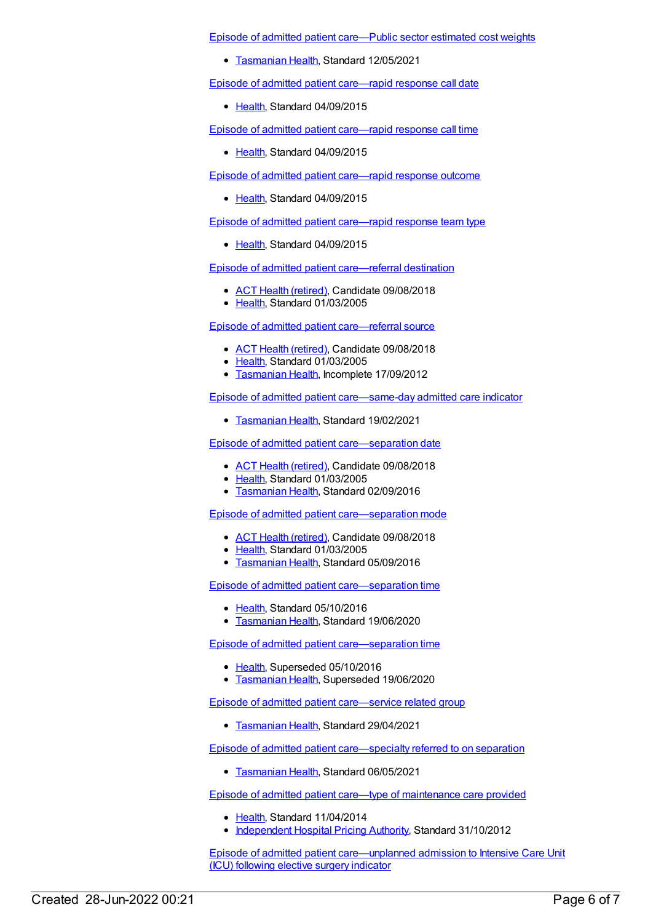Episode of admitted patient [care—Public](https://meteor.aihw.gov.au/content/743950) sector estimated cost weights

**[Tasmanian](https://meteor.aihw.gov.au/RegistrationAuthority/15) Health, Standard 12/05/2021** 

Episode of admitted patient [care—rapid](https://meteor.aihw.gov.au/content/592968) response call date

[Health](https://meteor.aihw.gov.au/RegistrationAuthority/12), Standard 04/09/2015

Episode of admitted patient [care—rapid](https://meteor.aihw.gov.au/content/593016) response call time

• [Health](https://meteor.aihw.gov.au/RegistrationAuthority/12), Standard 04/09/2015

Episode of admitted patient [care—rapid](https://meteor.aihw.gov.au/content/593131) response outcome

• [Health](https://meteor.aihw.gov.au/RegistrationAuthority/12), Standard 04/09/2015

Episode of admitted patient [care—rapid](https://meteor.aihw.gov.au/content/592926) response team type

• [Health](https://meteor.aihw.gov.au/RegistrationAuthority/12), Standard 04/09/2015

Episode of admitted patient [care—referral](https://meteor.aihw.gov.au/content/269430) destination

- ACT Health [\(retired\)](https://meteor.aihw.gov.au/RegistrationAuthority/9), Candidate 09/08/2018
- [Health](https://meteor.aihw.gov.au/RegistrationAuthority/12), Standard 01/03/2005

Episode of admitted patient [care—referral](https://meteor.aihw.gov.au/content/269465) source

- ACT Health [\(retired\)](https://meteor.aihw.gov.au/RegistrationAuthority/9), Candidate 09/08/2018
- [Health](https://meteor.aihw.gov.au/RegistrationAuthority/12), Standard 01/03/2005
- [Tasmanian](https://meteor.aihw.gov.au/RegistrationAuthority/15) Health, Incomplete 17/09/2012

Episode of admitted patient [care—same-day](https://meteor.aihw.gov.au/content/447014) admitted care indicator

**[Tasmanian](https://meteor.aihw.gov.au/RegistrationAuthority/15) Health, Standard 19/02/2021** 

Episode of admitted patient [care—separation](https://meteor.aihw.gov.au/content/269496) date

- ACT Health [\(retired\)](https://meteor.aihw.gov.au/RegistrationAuthority/9), Candidate 09/08/2018
- [Health](https://meteor.aihw.gov.au/RegistrationAuthority/12), Standard 01/03/2005
- [Tasmanian](https://meteor.aihw.gov.au/RegistrationAuthority/15) Health, Standard 02/09/2016

Episode of admitted patient [care—separation](https://meteor.aihw.gov.au/content/269562) mode

- ACT Health [\(retired\)](https://meteor.aihw.gov.au/RegistrationAuthority/9), Candidate 09/08/2018
- [Health](https://meteor.aihw.gov.au/RegistrationAuthority/12), Standard 01/03/2005
- **[Tasmanian](https://meteor.aihw.gov.au/RegistrationAuthority/15) Health, Standard 05/09/2016**

Episode of admitted patient [care—separation](https://meteor.aihw.gov.au/content/682924) time

- [Health](https://meteor.aihw.gov.au/RegistrationAuthority/12), Standard 05/10/2016
- **[Tasmanian](https://meteor.aihw.gov.au/RegistrationAuthority/15) Health, Standard 19/06/2020**

Episode of admitted patient [care—separation](https://meteor.aihw.gov.au/content/269497) time

- [Health](https://meteor.aihw.gov.au/RegistrationAuthority/12), Superseded 05/10/2016
- **[Tasmanian](https://meteor.aihw.gov.au/RegistrationAuthority/15) Health, Superseded 19/06/2020**

Episode of admitted patient [care—service](https://meteor.aihw.gov.au/content/743354) related group

**[Tasmanian](https://meteor.aihw.gov.au/RegistrationAuthority/15) Health, Standard 29/04/2021** 

Episode of admitted patient [care—specialty](https://meteor.aihw.gov.au/content/743649) referred to on separation

**[Tasmanian](https://meteor.aihw.gov.au/RegistrationAuthority/15) Health, Standard 06/05/2021** 

Episode of admitted patient care—type of [maintenance](https://meteor.aihw.gov.au/content/462100) care provided

- [Health](https://meteor.aihw.gov.au/RegistrationAuthority/12), Standard 11/04/2014
- [Independent](https://meteor.aihw.gov.au/RegistrationAuthority/3) Hospital Pricing Authority, Standard 31/10/2012

Episode of admitted patient [care—unplanned](https://meteor.aihw.gov.au/content/591978) admission to Intensive Care Unit (ICU) following elective surgery indicator